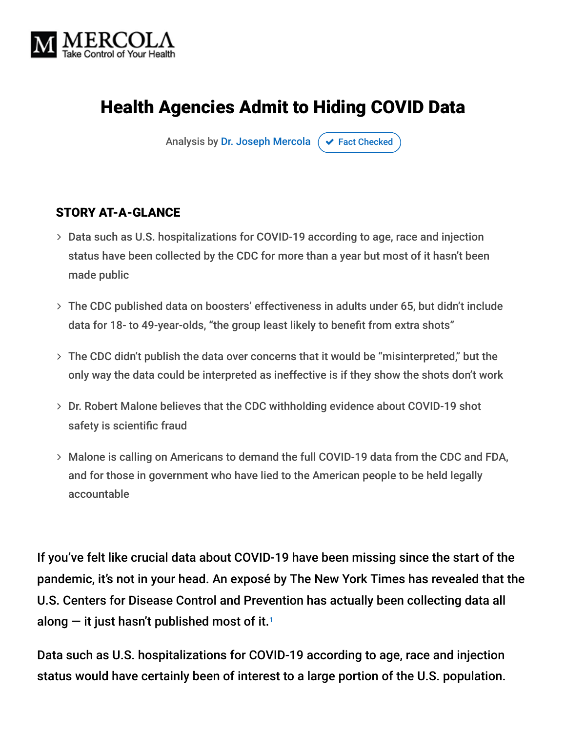

# Health Agencies Admit to Hiding COVID Data

Analysis by [Dr. Joseph Mercola](https://www.mercola.com/forms/background.htm)  $\sigma$  [Fact Checked](javascript:void(0))

#### STORY AT-A-GLANCE

- Data such as U.S. hospitalizations for COVID-19 according to age, race and injection status have been collected by the CDC for more than a year but most of it hasn't been made public
- The CDC published data on boosters' effectiveness in adults under 65, but didn't include data for 18- to 49-year-olds, "the group least likely to benefit from extra shots"
- The CDC didn't publish the data over concerns that it would be "misinterpreted," but the only way the data could be interpreted as ineffective is if they show the shots don't work
- Dr. Robert Malone believes that the CDC withholding evidence about COVID-19 shot safety is scientific fraud
- Malone is calling on Americans to demand the full COVID-19 data from the CDC and FDA, and for those in government who have lied to the American people to be held legally accountable

If you've felt like crucial data about COVID-19 have been missing since the start of the pandemic, it's not in your head. An exposé by The New York Times has revealed that the U.S. Centers for Disease Control and Prevention has actually been collecting data all along  $-$  it just hasn't published most of it.1  $\,$ 

Data such as U.S. hospitalizations for COVID-19 according to age, race and injection status would have certainly been of interest to a large portion of the U.S. population.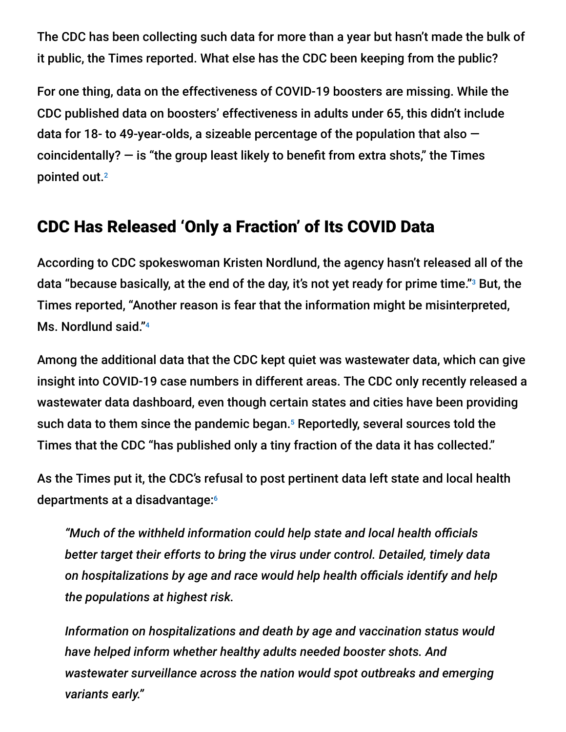The CDC has been collecting such data for more than a year but hasn't made the bulk of it public, the Times reported. What else has the CDC been keeping from the public?

For one thing, data on the effectiveness of COVID-19 boosters are missing. While the CDC published data on boosters' effectiveness in adults under 65, this didn't include data for 18- to 49-year-olds, a sizeable percentage of the population that also coincidentally?  $-$  is "the group least likely to benefit from extra shots," the Times pointed out. 2

## CDC Has Released 'Only a Fraction' of Its COVID Data

According to CDC spokeswoman Kristen Nordlund, the agency hasn't released all of the data "because basically, at the end of the day, it's not yet ready for prime time."<sup>3</sup> But, the Times reported, "Another reason is fear that the information might be misinterpreted, Ms. Nordlund said." 4

Among the additional data that the CDC kept quiet was wastewater data, which can give insight into COVID-19 case numbers in different areas. The CDC only recently released a wastewater data dashboard, even though certain states and cities have been providing such data to them since the pandemic began.<sup>5</sup> Reportedly, several sources told the Times that the CDC "has published only a tiny fraction of the data it has collected."

As the Times put it, the CDC's refusal to post pertinent data left state and local health departments at a disadvantage: 6

*"Much of the withheld information could help state and local health officials better target their efforts to bring the virus under control. Detailed, timely data on hospitalizations by age and race would help health officials identify and help the populations at highest risk.*

*Information on hospitalizations and death by age and vaccination status would have helped inform whether healthy adults needed booster shots. And wastewater surveillance across the nation would spot outbreaks and emerging variants early."*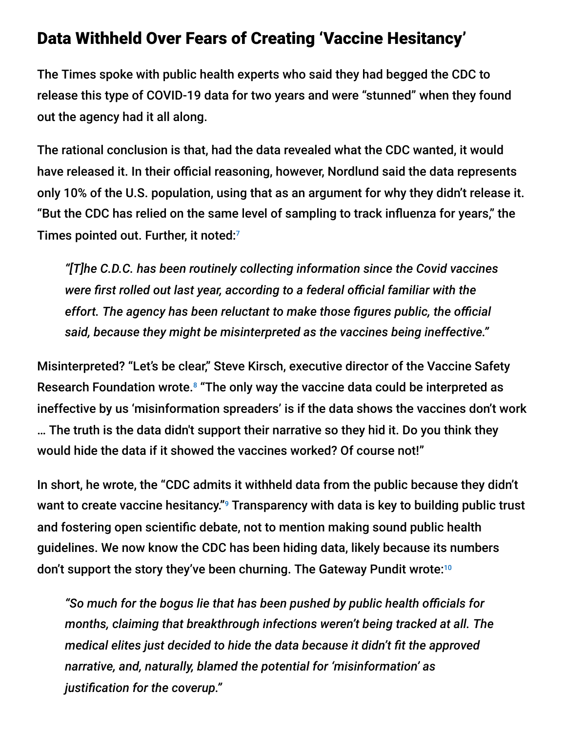#### Data Withheld Over Fears of Creating 'Vaccine Hesitancy'

The Times spoke with public health experts who said they had begged the CDC to release this type of COVID-19 data for two years and were "stunned" when they found out the agency had it all along.

The rational conclusion is that, had the data revealed what the CDC wanted, it would have released it. In their official reasoning, however, Nordlund said the data represents only 10% of the U.S. population, using that as an argument for why they didn't release it. "But the CDC has relied on the same level of sampling to track influenza for years," the Times pointed out. Further, it noted: 7

*"[T]he C.D.C. has been routinely collecting information since the Covid vaccines were first rolled out last year, according to a federal official familiar with the effort. The agency has been reluctant to make those figures public, the official said, because they might be misinterpreted as the vaccines being ineffective."*

Misinterpreted? "Let's be clear," Steve Kirsch, executive director of the Vaccine Safety Research Foundation wrote.<sup>8</sup> "The only way the vaccine data could be interpreted as ineffective by us 'misinformation spreaders' is if the data shows the vaccines don't work … The truth is the data didn't support their narrative so they hid it. Do you think they would hide the data if it showed the vaccines worked? Of course not!"

In short, he wrote, the "CDC admits it withheld data from the public because they didn't want to create vaccine hesitancy." $9$  Transparency with data is key to building public trust and fostering open scientific debate, not to mention making sound public health guidelines. We now know the CDC has been hiding data, likely because its numbers don't support the story they've been churning. The Gateway Pundit wrote: 10

*"So much for the bogus lie that has been pushed by public health officials for months, claiming that breakthrough infections weren't being tracked at all. The medical elites just decided to hide the data because it didn't fit the approved narrative, and, naturally, blamed the potential for 'misinformation' as justification for the coverup."*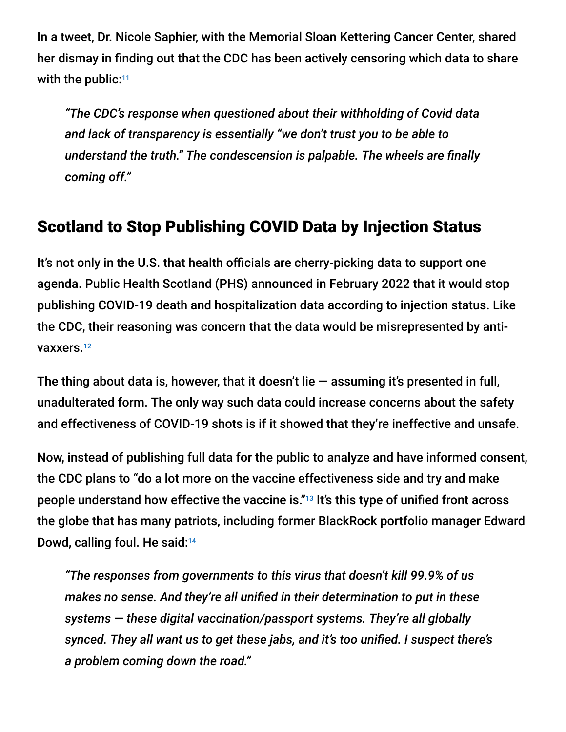In a tweet, Dr. Nicole Saphier, with the Memorial Sloan Kettering Cancer Center, shared her dismay in finding out that the CDC has been actively censoring which data to share with the public:<sup>11</sup>

*"The CDC's response when questioned about their withholding of Covid data and lack of transparency is essentially "we don't trust you to be able to understand the truth." The condescension is palpable. The wheels are finally coming off."*

## Scotland to Stop Publishing COVID Data by Injection Status

It's not only in the U.S. that health officials are cherry-picking data to support one agenda. Public Health Scotland (PHS) announced in February 2022 that it would stop publishing COVID-19 death and hospitalization data according to injection status. Like the CDC, their reasoning was concern that the data would be misrepresented by antivaxxers.<sup>12</sup>

The thing about data is, however, that it doesn't lie  $-$  assuming it's presented in full, unadulterated form. The only way such data could increase concerns about the safety and effectiveness of COVID-19 shots is if it showed that they're ineffective and unsafe.

Now, instead of publishing full data for the public to analyze and have informed consent, the CDC plans to "do a lot more on the vaccine effectiveness side and try and make people understand how effective the vaccine is."<sup>13</sup> It's this type of unified front across the globe that has many patriots, including former BlackRock portfolio manager Edward Dowd, calling foul. He said:<sup>14</sup>

*"The responses from governments to this virus that doesn't kill 99.9% of us makes no sense. And they're all unified in their determination to put in these systems — these digital vaccination/passport systems. They're all globally synced. They all want us to get these jabs, and it's too unified. I suspect there's a problem coming down the road."*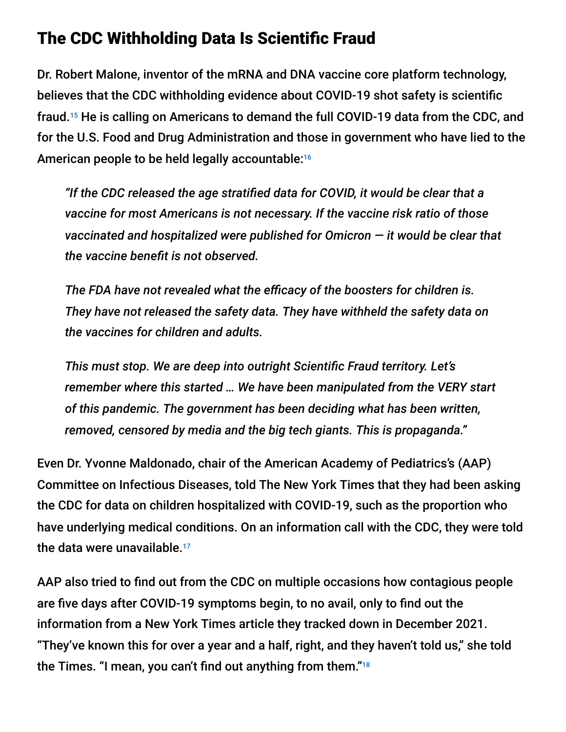## The CDC Withholding Data Is Scientific Fraud

Dr. Robert Malone, inventor of the mRNA and DNA vaccine core platform technology, believes that the CDC withholding evidence about COVID-19 shot safety is scientific fraud.<sup>15</sup> He is calling on Americans to demand the full COVID-19 data from the CDC, and for the U.S. Food and Drug Administration and those in government who have lied to the American people to be held legally accountable: 16

*"If the CDC released the age stratified data for COVID, it would be clear that a vaccine for most Americans is not necessary. If the vaccine risk ratio of those vaccinated and hospitalized were published for Omicron — it would be clear that the vaccine benefit is not observed.*

*The FDA have not revealed what the efficacy of the boosters for children is. They have not released the safety data. They have withheld the safety data on the vaccines for children and adults.*

*This must stop. We are deep into outright Scientific Fraud territory. Let's remember where this started … We have been manipulated from the VERY start of this pandemic. The government has been deciding what has been written, removed, censored by media and the big tech giants. This is propaganda."*

Even Dr. Yvonne Maldonado, chair of the American Academy of Pediatrics's (AAP) Committee on Infectious Diseases, told The New York Times that they had been asking the CDC for data on children hospitalized with COVID-19, such as the proportion who have underlying medical conditions. On an information call with the CDC, they were told the data were unavailable. 17

AAP also tried to find out from the CDC on multiple occasions how contagious people are five days after COVID-19 symptoms begin, to no avail, only to find out the information from a New York Times article they tracked down in December 2021. "They've known this for over a year and a half, right, and they haven't told us," she told the Times. "I mean, you can't find out anything from them."<sup>18</sup>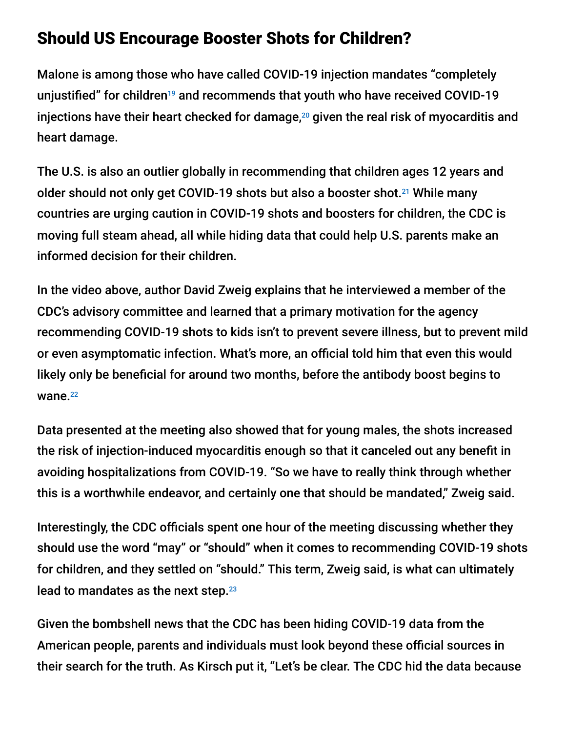## Should US Encourage Booster Shots for Children?

Malone is among those who have called COVID-19 injection mandates "completely unjustified" for children<sup>19</sup> and recommends that youth who have received COVID-19 injections have their heart checked for damage, $^{20}$  given the real risk of myocarditis and heart damage.

The U.S. is also an outlier globally in recommending that children ages 12 years and older should not only get COVID-19 shots but also a booster shot.<sup>21</sup> While many countries are urging caution in COVID-19 shots and boosters for children, the CDC is moving full steam ahead, all while hiding data that could help U.S. parents make an informed decision for their children.

In the video above, author David Zweig explains that he interviewed a member of the CDC's advisory committee and learned that a primary motivation for the agency recommending COVID-19 shots to kids isn't to prevent severe illness, but to prevent mild or even asymptomatic infection. What's more, an official told him that even this would likely only be beneficial for around two months, before the antibody boost begins to wane.<sup>22</sup>

Data presented at the meeting also showed that for young males, the shots increased the risk of injection-induced myocarditis enough so that it canceled out any benefit in avoiding hospitalizations from COVID-19. "So we have to really think through whether this is a worthwhile endeavor, and certainly one that should be mandated," Zweig said.

Interestingly, the CDC officials spent one hour of the meeting discussing whether they should use the word "may" or "should" when it comes to recommending COVID-19 shots for children, and they settled on "should." This term, Zweig said, is what can ultimately lead to mandates as the next step.<sup>23</sup>

Given the bombshell news that the CDC has been hiding COVID-19 data from the American people, parents and individuals must look beyond these official sources in their search for the truth. As Kirsch put it, "Let's be clear. The CDC hid the data because